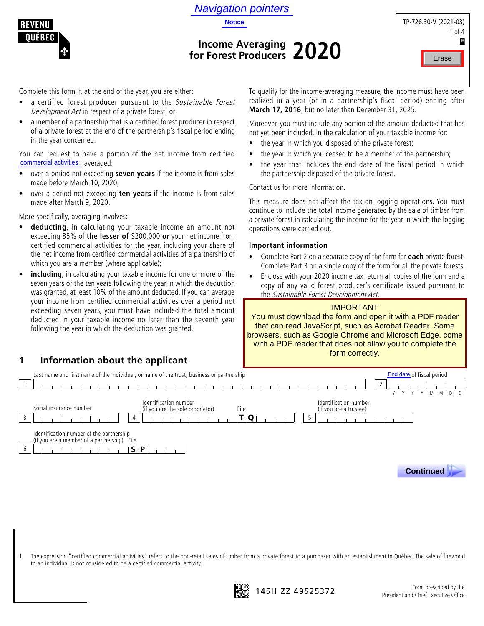



# **Income Averaging for Forest Producers 2020**

| TP-726.30-V (2021-03) |
|-----------------------|
| 1 of $4$              |
| E                     |
| Erase                 |

Complete this form if, at the end of the year, you are either:

- a certified forest producer pursuant to the Sustainable Forest Development Act in respect of a private forest; or
- a member of a partnership that is a certified forest producer in respect of a private forest at the end of the partnership's fiscal period ending in the year concerned.

You can request to have a portion of the net income from certified commercial activities<sup>1</sup> averaged:

- over a period not exceeding **seven years** if the income is from sales made before March 10, 2020;
- over a period not exceeding **ten years** if the income is from sales made after March 9, 2020.

More specifically, averaging involves:

- **deducting**, in calculating your taxable income an amount not exceeding 85% of **the lesser of** \$200,000 **or** your net income from certified commercial activities for the year, including your share of the net income from certified commercial activities of a partnership of which you are a member (where applicable);
- including, in calculating your taxable income for one or more of the seven years or the ten years following the year in which the deduction was granted, at least 10% of the amount deducted. If you can average your income from certified commercial activities over a period not exceeding seven years, you must have included the total amount deducted in your taxable income no later than the seventh year following the year in which the deduction was granted.

**1 Information about the applicant**

To qualify for the income-averaging measure, the income must have been realized in a year (or in a partnership's fiscal period) ending after **March 17, 2016**, but no later than December 31, 2025.

Moreover, you must include any portion of the amount deducted that has not yet been included, in the calculation of your taxable income for:

- the year in which you disposed of the private forest;
- the year in which you ceased to be a member of the partnership;
- the year that includes the end date of the fiscal period in which the partnership disposed of the private forest.

Contact us for more information.

This measure does not affect the tax on logging operations. You must continue to include the total income generated by the sale of timber from a private forest in calculating the income for the year in which the logging operations were carried out.

#### **Important information**

- Complete Part 2 on a separate copy of the form for **each** private forest. Complete Part 3 on a single copy of the form for all the private forests.
- Enclose with your 2020 income tax return all copies of the form and a copy of any valid forest producer's certificate issued pursuant to the Sustainable Forest Development Act.

#### IMPORTANT

You must download the form and open it with a PDF reader that can read JavaScript, such as Acrobat Reader. Some browsers, such as Google Chrome and Microsoft Edge, come with a PDF reader that does not allow you to complete the form correctly.



1. The expression "certified commercial activities" refers to the non-retail sales of timber from a private forest to a purchaser with an establishment in Québec. The sale of firewood to an individual is not considered to be a certified commercial activity.

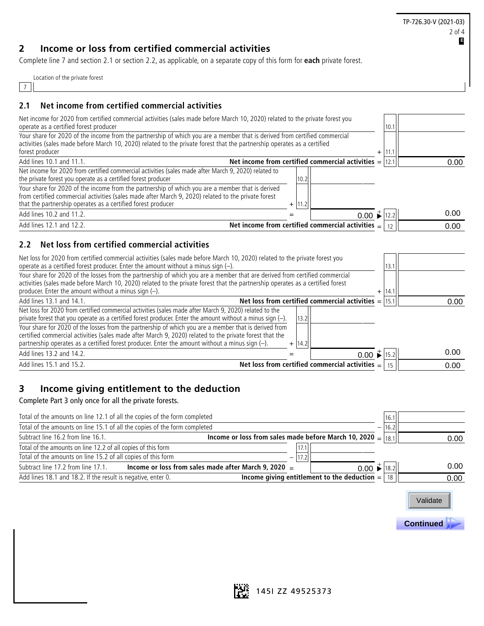TP-726.30-V (2021-03) 2 of 4 **E**

# **2 Income or loss from certified commercial activities**

Complete line 7 and section 2.1 or section 2.2, as applicable, on a separate copy of this form for **each** private forest.

| Location of the private forest |  |  |
|--------------------------------|--|--|
|                                |  |  |

#### 7

#### **2.1 Net income from certified commercial activities**

| Net income for 2020 from certified commercial activities (sales made before March 10, 2020) related to the private forest you<br>operate as a certified forest producer                                                                                                                                                               |     | 10.1 |      |
|---------------------------------------------------------------------------------------------------------------------------------------------------------------------------------------------------------------------------------------------------------------------------------------------------------------------------------------|-----|------|------|
| Your share for 2020 of the income from the partnership of which you are a member that is derived from certified commercial<br>activities (sales made before March 10, 2020) related to the private forest that the partnership operates as a certified<br>forest producer                                                             | $+$ | 11.1 |      |
| Net income from certified commercial activities = $ 12.1$<br>Add lines 10.1 and 11.1.                                                                                                                                                                                                                                                 |     |      | 0.00 |
| Net income for 2020 from certified commercial activities (sales made after March 9, 2020) related to<br>the private forest you operate as a certified forest producer<br>10.2                                                                                                                                                         |     |      |      |
| Your share for 2020 of the income from the partnership of which you are a member that is derived<br>from certified commercial activities (sales made after March 9, 2020) related to the private forest<br>that the partnership operates as a certified forest producer<br> 11.2 <br>$+$                                              |     |      |      |
| $0.00 \div 12.2$<br>Add lines 10.2 and 11.2.                                                                                                                                                                                                                                                                                          |     |      | 0.00 |
| Net income from certified commercial activities $=$<br>Add lines 12.1 and 12.2.                                                                                                                                                                                                                                                       |     | 12   | 0.00 |
| Net loss from certified commercial activities<br>2.2                                                                                                                                                                                                                                                                                  |     |      |      |
| Net loss for 2020 from certified commercial activities (sales made before March 10, 2020) related to the private forest you<br>operate as a certified forest producer. Enter the amount without a minus sign $(-)$ .                                                                                                                  |     | 13.1 |      |
| Your share for 2020 of the losses from the partnership of which you are a member that are derived from certified commercial<br>activities (sales made before March 10, 2020) related to the private forest that the partnership operates as a certified forest<br>producer. Enter the amount without a minus sign $(-)$ .             | $+$ | 14.1 |      |
| Net loss from certified commercial activities = $ 15.1$<br>Add lines 13.1 and 14.1.                                                                                                                                                                                                                                                   |     |      | 0.00 |
| Net loss for 2020 from certified commercial activities (sales made after March 9, 2020) related to the<br>private forest that you operate as a certified forest producer. Enter the amount without a minus sign (-).<br>13.2                                                                                                          |     |      |      |
| Your share for 2020 of the losses from the partnership of which you are a member that is derived from<br>certified commercial activities (sales made after March 9, 2020) related to the private forest that the<br>partnership operates as a certified forest producer. Enter the amount without a minus sign $(-)$ .<br>14.2<br>$+$ |     |      |      |
| Add lines 13.2 and 14.2.<br>$0.00 \div 15.2$                                                                                                                                                                                                                                                                                          |     |      | 0.00 |
| Net loss from certified commercial activities $=$<br>Add lines 15.1 and 15.2.                                                                                                                                                                                                                                                         |     | 15   | 0.00 |

## **3 Income giving entitlement to the deduction**

Complete Part 3 only once for all the private forests.

| Total of the amounts on line 12.1 of all the copies of the form completed |                                                                             |                                                | 16.1            |      |
|---------------------------------------------------------------------------|-----------------------------------------------------------------------------|------------------------------------------------|-----------------|------|
| Total of the amounts on line 15.1 of all the copies of the form completed |                                                                             |                                                | 16.2            |      |
| Subtract line 16.2 from line 16.1.                                        | Income or loss from sales made before March 10, 2020 = $\vert$ 18.1 $\vert$ |                                                |                 | 0.00 |
| Total of the amounts on line 12.2 of all copies of this form              | 17.1                                                                        |                                                |                 |      |
| Total of the amounts on line 15.2 of all copies of this form              | 1721<br>—                                                                   |                                                |                 |      |
| Subtract line 17.2 from line 17.1.                                        | Income or loss from sales made after March 9, 2020 $=$                      | $0.00 \div  18.2 $                             |                 | 0.00 |
| Add lines 18.1 and 18.2. If the result is negative, enter 0.              |                                                                             | Income giving entitlement to the deduction $=$ | 18 <sub>1</sub> | 0.00 |



 **Continued .**

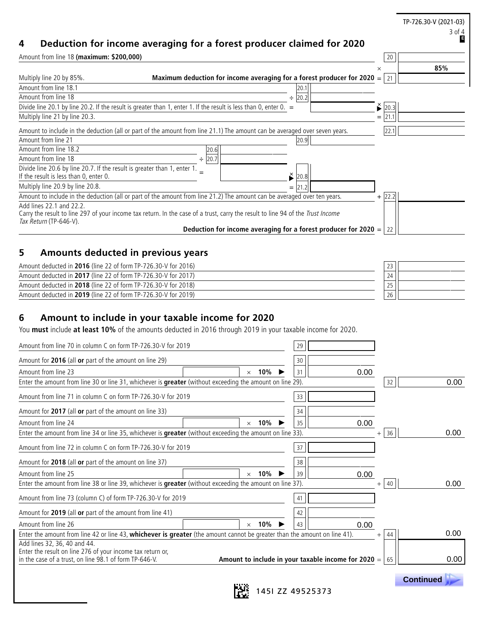|                                                                                                                    |                                                                                                                               |           |             | TP-726.30-V (2021-03)<br>3 of 4<br>E |
|--------------------------------------------------------------------------------------------------------------------|-------------------------------------------------------------------------------------------------------------------------------|-----------|-------------|--------------------------------------|
| 4<br>Amount from line 18 (maximum: \$200,000)                                                                      | Deduction for income averaging for a forest producer claimed for 2020                                                         |           | 20          |                                      |
|                                                                                                                    |                                                                                                                               |           | $\times$    | 85%                                  |
| Multiply line 20 by 85%.                                                                                           | Maximum deduction for income averaging for a forest producer for 2020 $=$                                                     |           | 21          |                                      |
| Amount from line 18.1                                                                                              |                                                                                                                               | 20.1      |             |                                      |
| Amount from line 18                                                                                                |                                                                                                                               | 20.2<br>÷ |             |                                      |
|                                                                                                                    | Divide line 20.1 by line 20.2. If the result is greater than 1, enter 1. If the result is less than 0, enter 0. $=$           |           | $\geq$ 20.3 |                                      |
| Multiply line 21 by line 20.3.                                                                                     |                                                                                                                               |           | 21.1<br>$=$ |                                      |
|                                                                                                                    | Amount to include in the deduction (all or part of the amount from line 21.1) The amount can be averaged over seven years.    |           | 22.1        |                                      |
| Amount from line 21                                                                                                |                                                                                                                               | 20.9      |             |                                      |
| Amount from line 18.2                                                                                              | 20.6                                                                                                                          |           |             |                                      |
| Amount from line 18                                                                                                | 20.7                                                                                                                          |           |             |                                      |
| Divide line 20.6 by line 20.7. If the result is greater than 1, enter 1.<br>If the result is less than 0, enter 0. |                                                                                                                               | ×<br>20   |             |                                      |
| Multiply line 20.9 by line 20.8.                                                                                   |                                                                                                                               | $=$       |             |                                      |
|                                                                                                                    | Amount to include in the deduction (all or part of the amount from line 21.2) The amount can be averaged over ten years.      |           | $+$ 22.2    |                                      |
| Add lines 22.1 and 22.2.                                                                                           | Carry the result to line 207 of your income tax return In the case of a trust carry the result to line 04 of the Trust Income |           |             |                                      |

| Carry the result to line 297 of your income tax return. In the case of a trust, carry the result to line 94 of the Trust Income |  |
|---------------------------------------------------------------------------------------------------------------------------------|--|
| <i>Tax Return</i> (TP-646-V).                                                                                                   |  |
| Deduction for income averaging for a forest producer for 2020 = $ 22 $                                                          |  |

# **5 Amounts deducted in previous years**

| Amount deducted in 2016 (line 22 of form TP-726.30-V for 2016) | ر ے |  |
|----------------------------------------------------------------|-----|--|
| Amount deducted in 2017 (line 22 of form TP-726.30-V for 2017) | 24  |  |
| Amount deducted in 2018 (line 22 of form TP-726.30-V for 2018) | رے  |  |
| Amount deducted in 2019 (line 22 of form TP-726.30-V for 2019) | 26  |  |

# **6 Amount to include in your taxable income for 2020**

You **must** include **at least 10%** of the amounts deducted in 2016 through 2019 in your taxable income for 2020.

| Amount for 2016 (all or part of the amount on line 29)<br>30                                                                                                                       |                   |
|------------------------------------------------------------------------------------------------------------------------------------------------------------------------------------|-------------------|
| Amount from line 23<br>10%<br>31<br>0.00<br>$\times$                                                                                                                               |                   |
| Enter the amount from line 30 or line 31, whichever is greater (without exceeding the amount on line 29).                                                                          | 0.00<br>32        |
| Amount from line 71 in column C on form TP-726.30-V for 2019<br>33                                                                                                                 |                   |
| Amount for 2017 (all or part of the amount on line 33)<br>34                                                                                                                       |                   |
| Amount from line 24<br>0.00<br>10%<br>35<br>$\times$                                                                                                                               |                   |
| Enter the amount from line 34 or line 35, whichever is greater (without exceeding the amount on line 33).<br>$^{+}$                                                                | 0.00<br>36        |
| Amount from line 72 in column C on form TP-726.30-V for 2019<br>37                                                                                                                 |                   |
| Amount for 2018 (all or part of the amount on line 37)<br>38                                                                                                                       |                   |
| Amount from line 25<br>10%<br>39<br>0.00<br>$\times$                                                                                                                               |                   |
| Enter the amount from line 38 or line 39, whichever is greater (without exceeding the amount on line 37).<br>$^+$                                                                  | 0.00<br>40        |
| Amount from line 73 (column C) of form TP-726.30-V for 2019<br>41                                                                                                                  |                   |
| Amount for 2019 (all or part of the amount from line 41)<br>42                                                                                                                     |                   |
| Amount from line 26<br>10%<br>0.00<br>43<br>$\times$                                                                                                                               |                   |
| Enter the amount from line 42 or line 43, whichever is greater (the amount cannot be greater than the amount on line 41).<br>$^{+}$                                                | 0.00<br>44        |
| Add lines 32, 36, 40 and 44.                                                                                                                                                       |                   |
| Enter the result on line 276 of your income tax return or,<br>in the case of a trust, on line 98.1 of form TP-646-V.<br>Amount to include in your taxable income for 2020 = $ 65 $ | 0.00 <sub>1</sub> |
|                                                                                                                                                                                    |                   |

 **Continued .**